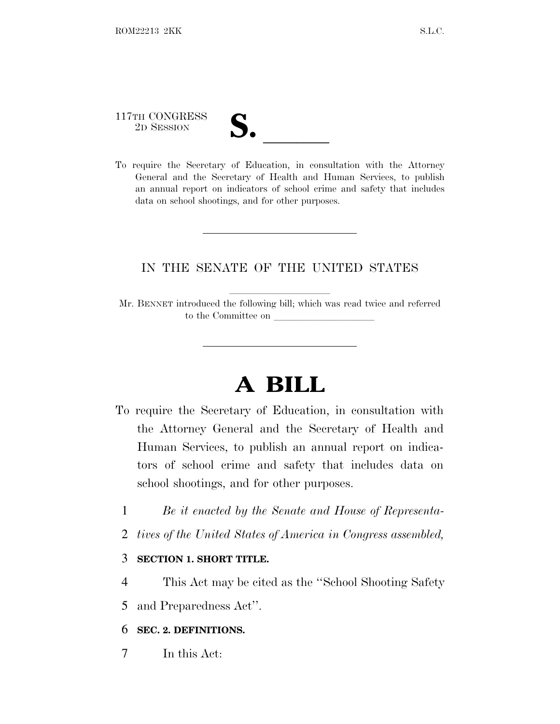# 117TH CONGRESS

117TH CONGRESS<br>
2D SESSION<br>
To require the Secretary of Education, in consultation with the Attorney General and the Secretary of Health and Human Services, to publish an annual report on indicators of school crime and safety that includes data on school shootings, and for other purposes.

### IN THE SENATE OF THE UNITED STATES

Mr. BENNET introduced the following bill; which was read twice and referred to the Committee on

## **A BILL**

- To require the Secretary of Education, in consultation with the Attorney General and the Secretary of Health and Human Services, to publish an annual report on indicators of school crime and safety that includes data on school shootings, and for other purposes.
	- 1 *Be it enacted by the Senate and House of Representa-*
	- 2 *tives of the United States of America in Congress assembled,*

### 3 **SECTION 1. SHORT TITLE.**

- 4 This Act may be cited as the ''School Shooting Safety
- 5 and Preparedness Act''.

#### 6 **SEC. 2. DEFINITIONS.**

7 In this Act: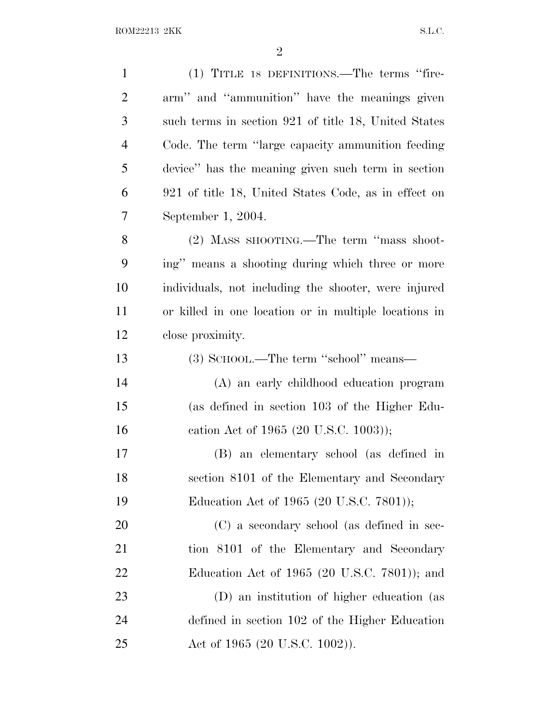| $\mathbf{1}$   | (1) TITLE 18 DEFINITIONS.—The terms "fire-            |
|----------------|-------------------------------------------------------|
| $\overline{2}$ | arm" and "ammunition" have the meanings given         |
| 3              | such terms in section 921 of title 18, United States  |
| $\overline{4}$ | Code. The term "large capacity ammunition feeding"    |
| 5              | device" has the meaning given such term in section    |
| 6              | 921 of title 18, United States Code, as in effect on  |
| 7              | September 1, 2004.                                    |
| 8              | (2) MASS SHOOTING.—The term "mass shoot-              |
| 9              | ing" means a shooting during which three or more      |
| 10             | individuals, not including the shooter, were injured  |
| 11             | or killed in one location or in multiple locations in |
| 12             | close proximity.                                      |
| 13             | (3) SCHOOL.—The term "school" means—                  |
| 14             | (A) an early childhood education program              |
| 15             | (as defined in section 103 of the Higher Edu-         |
| 16             | cation Act of 1965 (20 U.S.C. 1003));                 |
| 17             | (B) an elementary school (as defined in               |
| 18             | section 8101 of the Elementary and Secondary          |
| 19             | Education Act of 1965 (20 U.S.C. 7801));              |
| 20             | (C) a secondary school (as defined in sec-            |
| 21             | tion 8101 of the Elementary and Secondary             |
| 22             | Education Act of 1965 (20 U.S.C. 7801)); and          |
| 23             | (D) an institution of higher education (as            |
| 24             | defined in section 102 of the Higher Education        |
| 25             | Act of 1965 (20 U.S.C. 1002)).                        |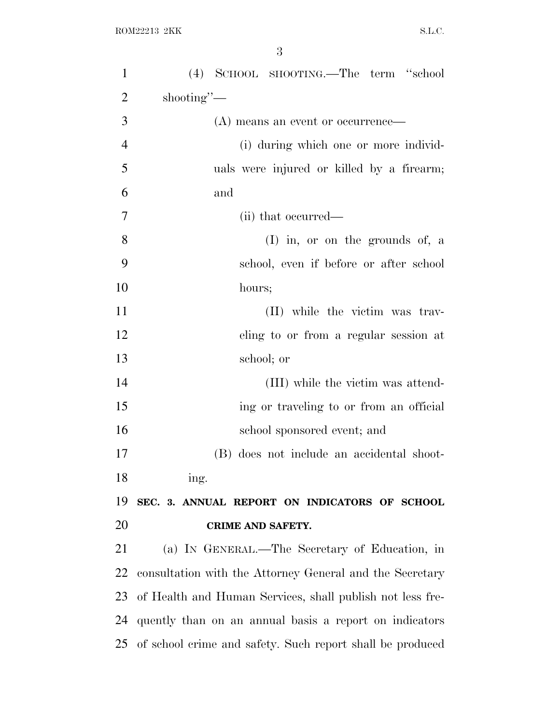| $\mathbf{1}$   | (4) SCHOOL SHOOTING.—The term "school                     |
|----------------|-----------------------------------------------------------|
| $\overline{2}$ | shooting"-                                                |
| 3              | (A) means an event or occurrence—                         |
| $\overline{4}$ | (i) during which one or more individ-                     |
| 5              | uals were injured or killed by a firearm;                 |
| 6              | and                                                       |
| $\overline{7}$ | (ii) that occurred—                                       |
| 8              | $(I)$ in, or on the grounds of, a                         |
| 9              | school, even if before or after school                    |
| 10             | hours;                                                    |
| 11             | (II) while the victim was trav-                           |
| 12             | eling to or from a regular session at                     |
| 13             | school; or                                                |
| 14             | (III) while the victim was attend-                        |
| 15             | ing or traveling to or from an official                   |
| 16             | school sponsored event; and                               |
| 17             | (B) does not include an accidental shoot-                 |
| 18             | ing.                                                      |
| 19             | SEC. 3. ANNUAL REPORT ON INDICATORS OF SCHOOL             |
| 20             | CRIME AND SAFETY.                                         |
| 21             | (a) IN GENERAL.—The Secretary of Education, in            |
| 22             | consultation with the Attorney General and the Secretary  |
| 23             | of Health and Human Services, shall publish not less fre- |
| 24             | quently than on an annual basis a report on indicators    |
| 25             | of school crime and safety. Such report shall be produced |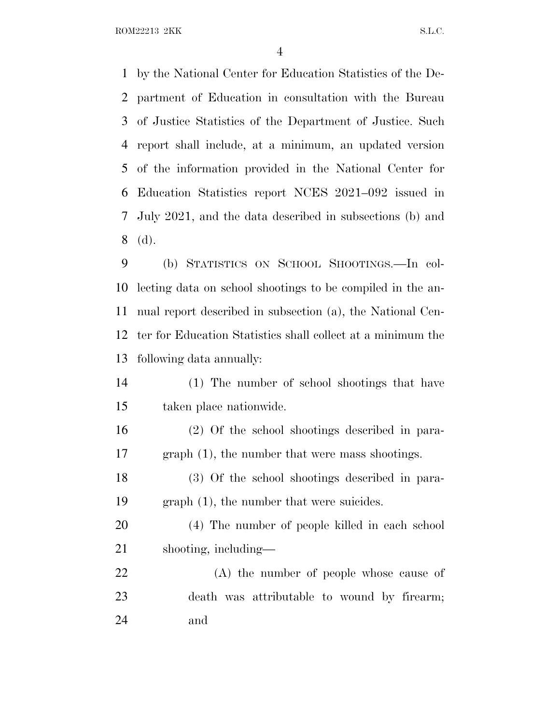ROM22213 2KK S.L.C.

 by the National Center for Education Statistics of the De- partment of Education in consultation with the Bureau of Justice Statistics of the Department of Justice. Such report shall include, at a minimum, an updated version of the information provided in the National Center for Education Statistics report NCES 2021–092 issued in July 2021, and the data described in subsections (b) and (d).

 (b) STATISTICS ON SCHOOL SHOOTINGS.—In col- lecting data on school shootings to be compiled in the an- nual report described in subsection (a), the National Cen- ter for Education Statistics shall collect at a minimum the following data annually:

 (1) The number of school shootings that have taken place nationwide.

 (2) Of the school shootings described in para-graph (1), the number that were mass shootings.

 (3) Of the school shootings described in para-graph (1), the number that were suicides.

 (4) The number of people killed in each school shooting, including—

 (A) the number of people whose cause of death was attributable to wound by firearm; and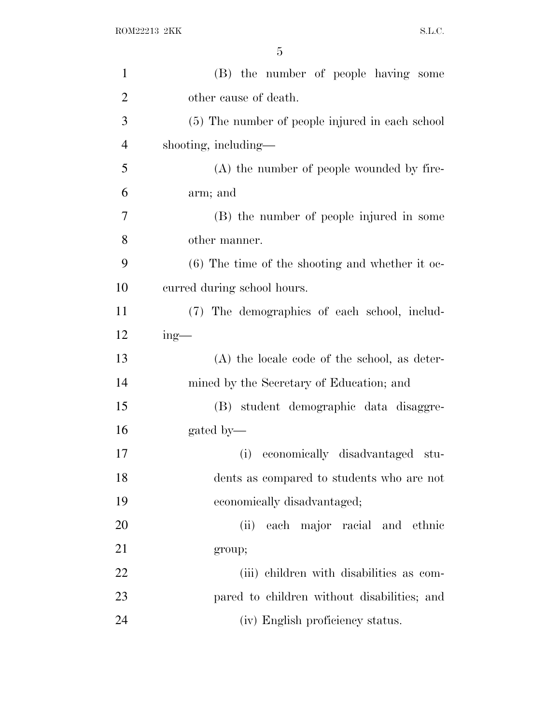| $\mathbf{1}$   | (B) the number of people having some              |
|----------------|---------------------------------------------------|
| $\overline{2}$ | other cause of death.                             |
| 3              | (5) The number of people injured in each school   |
| $\overline{4}$ | shooting, including—                              |
| 5              | (A) the number of people wounded by fire-         |
| 6              | arm; and                                          |
| 7              | (B) the number of people injured in some          |
| 8              | other manner.                                     |
| 9              | $(6)$ The time of the shooting and whether it oc- |
| 10             | curred during school hours.                       |
| 11             | (7) The demographics of each school, includ-      |
| 12             | $ing$ —                                           |
| 13             | $(A)$ the locale code of the school, as deter-    |
| 14             | mined by the Secretary of Education; and          |
| 15             | (B) student demographic data disaggre-            |
| 16             | gated by-                                         |
| 17             | economically disadvantaged<br>(i)<br>stu-         |
| 18             | dents as compared to students who are not         |
| 19             | economically disadvantaged;                       |
| 20             | (ii) each major racial and ethnic                 |
| 21             | group;                                            |
| 22             | (iii) children with disabilities as com-          |
| 23             | pared to children without disabilities; and       |
| 24             | (iv) English proficiency status.                  |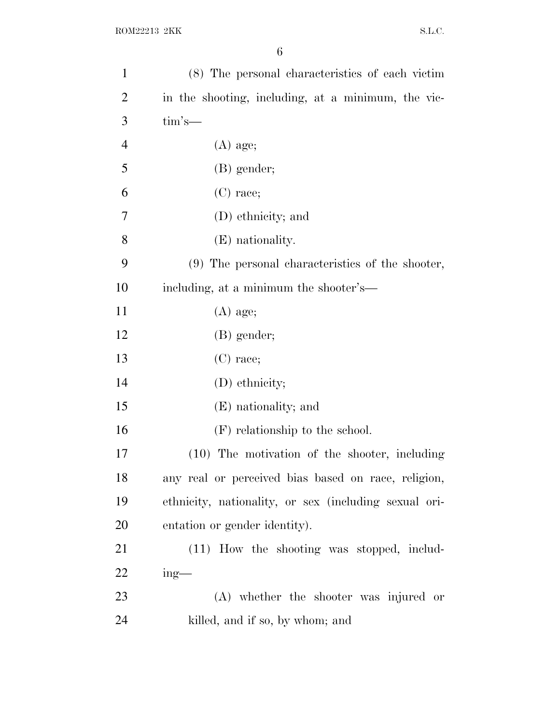| $\mathbf{1}$   | (8) The personal characteristics of each victim       |
|----------------|-------------------------------------------------------|
| $\overline{2}$ | in the shooting, including, at a minimum, the vic-    |
| 3              | $\lim$ 's—                                            |
| $\overline{4}$ | $(A)$ age;                                            |
| 5              | $(B)$ gender;                                         |
| 6              | $(C)$ race;                                           |
| 7              | (D) ethnicity; and                                    |
| 8              | (E) nationality.                                      |
| 9              | (9) The personal characteristics of the shooter,      |
| 10             | including, at a minimum the shooter's—                |
| 11             | $(A)$ age;                                            |
| 12             | $(B)$ gender;                                         |
| 13             | $(C)$ race;                                           |
| 14             | (D) ethnicity;                                        |
| 15             | (E) nationality; and                                  |
| 16             | $(F)$ relationship to the school.                     |
| 17             | (10) The motivation of the shooter, including         |
| 18             | any real or perceived bias based on race, religion,   |
| 19             | ethnicity, nationality, or sex (including sexual ori- |
| 20             | entation or gender identity).                         |
| 21             | (11) How the shooting was stopped, includ-            |
| 22             | $ing$ —                                               |
| 23             | $(A)$ whether the shooter was injured or              |
| 24             | killed, and if so, by whom; and                       |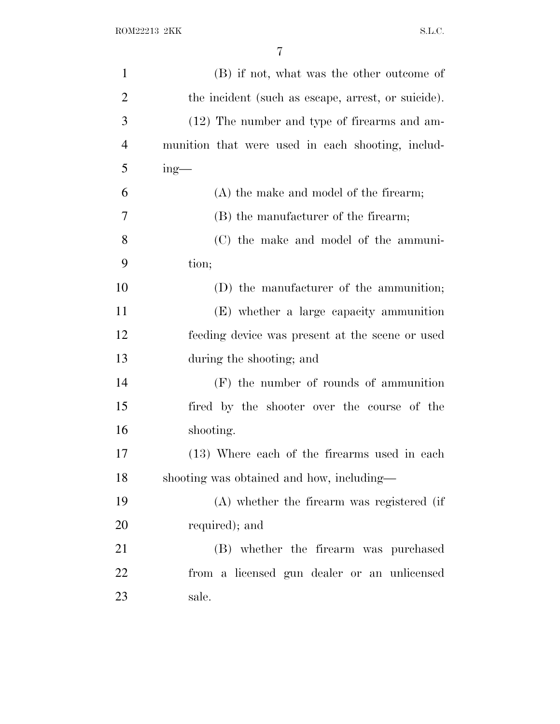| $\mathbf{1}$   | (B) if not, what was the other outcome of          |
|----------------|----------------------------------------------------|
| $\overline{2}$ | the incident (such as escape, arrest, or suicide). |
| 3              | (12) The number and type of firearms and am-       |
| $\overline{4}$ | munition that were used in each shooting, includ-  |
| 5              | $ing$ —                                            |
| 6              | $(A)$ the make and model of the firearm;           |
| 7              | (B) the manufacturer of the firearm;               |
| 8              | (C) the make and model of the ammuni-              |
| 9              | tion;                                              |
| 10             | (D) the manufacturer of the ammunition;            |
| 11             | (E) whether a large capacity ammunition            |
| 12             | feeding device was present at the scene or used    |
| 13             | during the shooting; and                           |
| 14             | $(F)$ the number of rounds of ammunition           |
| 15             | fired by the shooter over the course of the        |
| 16             | shooting.                                          |
| 17             | (13) Where each of the firearms used in each       |
| 18             | shooting was obtained and how, including—          |
| 19             | (A) whether the firearm was registered (if         |
| 20             | required); and                                     |
| 21             | (B) whether the firearm was purchased              |
| 22             | from a licensed gun dealer or an unlicensed        |
| 23             | sale.                                              |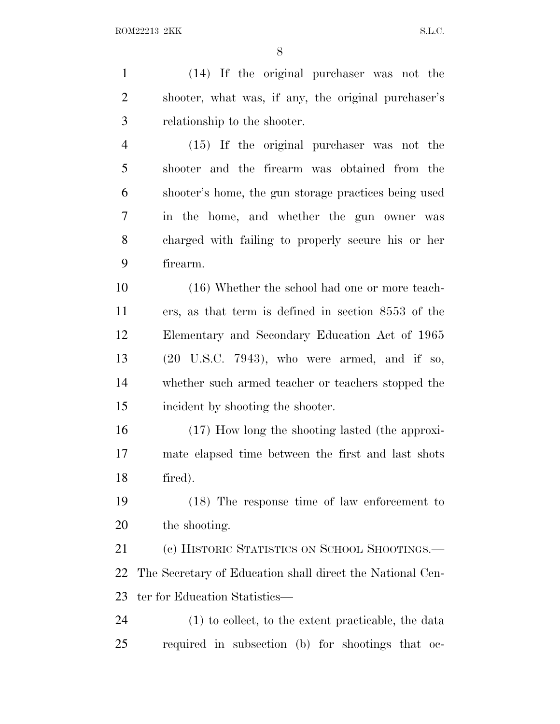(14) If the original purchaser was not the shooter, what was, if any, the original purchaser's relationship to the shooter. (15) If the original purchaser was not the shooter and the firearm was obtained from the shooter's home, the gun storage practices being used in the home, and whether the gun owner was charged with failing to properly secure his or her firearm. (16) Whether the school had one or more teach- ers, as that term is defined in section 8553 of the Elementary and Secondary Education Act of 1965 (20 U.S.C. 7943), who were armed, and if so, whether such armed teacher or teachers stopped the incident by shooting the shooter. (17) How long the shooting lasted (the approxi- mate elapsed time between the first and last shots fired). (18) The response time of law enforcement to the shooting.

 (c) HISTORIC STATISTICS ON SCHOOL SHOOTINGS.— The Secretary of Education shall direct the National Cen-ter for Education Statistics—

 (1) to collect, to the extent practicable, the data required in subsection (b) for shootings that oc-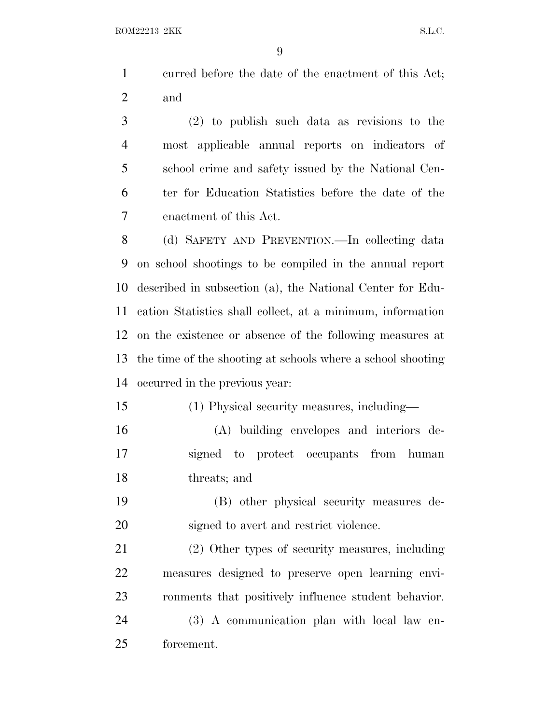curred before the date of the enactment of this Act; and

 (2) to publish such data as revisions to the most applicable annual reports on indicators of school crime and safety issued by the National Cen- ter for Education Statistics before the date of the enactment of this Act.

 (d) SAFETY AND PREVENTION.—In collecting data on school shootings to be compiled in the annual report described in subsection (a), the National Center for Edu- cation Statistics shall collect, at a minimum, information on the existence or absence of the following measures at the time of the shooting at schools where a school shooting occurred in the previous year:

(1) Physical security measures, including—

 (A) building envelopes and interiors de- signed to protect occupants from human threats; and

 (B) other physical security measures de-signed to avert and restrict violence.

 (2) Other types of security measures, including measures designed to preserve open learning envi-ronments that positively influence student behavior.

 (3) A communication plan with local law en-forcement.